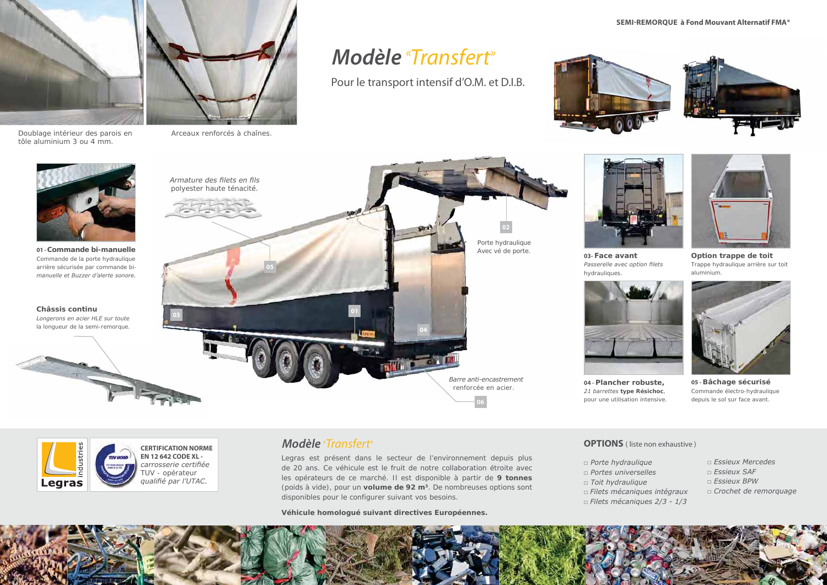

Passerelle avec option filets *hydrauliques.*

### **SEMI-REMORQUE à Fond Mouvant Alternatif FMA®**



**Option trappe de toit**  *Trappe hydraulique arrière sur toit aluminium.*



*Doublage intérieur des parois en tôle aluminium 3 ou 4 mm.*



*Arceaux renforcés à chaînes.*

# *Modèle* « Transfert»

Pour le transport intensif d'O.M. et D.I.B.



*Legras est présent dans le secteur de l'environnement depuis plus de 20 ans. Ce véhicule est le fruit de notre collaboration étroite avec les opérateurs de ce marché. Il est disponible à partir de 9 tonnes (poids à vide), pour un volume de 92 m3. De nombreuses options sont disponibles pour le configurer suivant vos besoins.*

**CERTIFICATION NORME EN 12 642 CODE XL**  carrosserie certifiée *TUV - opérateur*  qualifié par l'UTAC.

*Véhicule homologué suivant directives Européennes.*

- 
- *□ Porte hydraulique □ Portes universelles* **□ Toit hydraulique** *□ Filets mécaniques intégraux □ Filets mécaniques 2/3 - 1/3*
- 
- 
- 





## *Modèle* «

**Châssis continu**



**05 - Bâchage sécurisé** *Commande électro-hydraulique depuis le sol sur face avant.*

**OPTIONS** ( liste non exhaustive )

- **□ Essieux Mercedes**
- *∟Essieux SAF*
- **□ Essieux BPW**
- **□ Crochet de remorquage**



**04 - Plancher robuste,**   $21$  barrettes type Résichoc, *pour une utilisation intensive.*

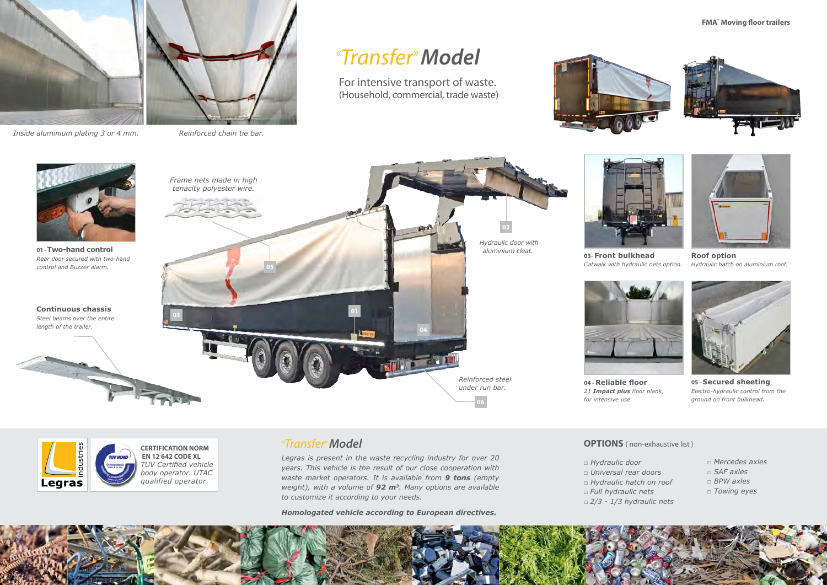

**03- Front bulkhead** *Catwalk with hydraulic nets option.*

### **FMA® Moving floor trailers**







**Roof option**  *Hydraulic hatch on aluminium roof.*



*Inside aluminium plating 3 or 4 mm. Reinforced chain tie bar.*

# *« Transfer» Model*

For intensive transport of waste. (Household, commercial, trade waste)



*Legras is present in the waste recycling industry for over 20 years. This vehicle is the result of our close cooperation with waste market operators. It is available from 9 tons (empty weight), with a volume of 92 m3. Many options are available to customize it according to your needs.*

*Homologated vehicle according to European directives.*

*«*

- *□ Hydraulic door □ Universal rear doors □ Hydraulic hatch on roof □ Full hydraulic nets □ 2/3 - 1/3 hydraulic nets*
- 
- 
- 



- *□ Mercedes axles*
- *□ SAF axles*
- *□ BPW axles*
- *□ Towing eyes*



**05 - Secured sheeting** *Electro-hydraulic control from the ground on front bulkhead.*

**OPTIONS** ( non-exhaustive list )